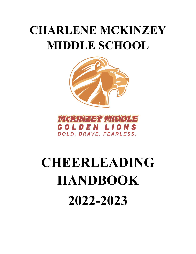## **CHARLENE MCKINZEY MIDDLE SCHOOL**





# **CHEERLEADING HANDBOOK 2022-2023**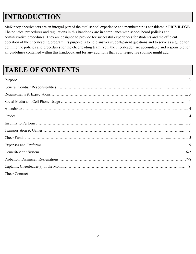#### **INTRODUCTION**

McKinzey cheerleaders are an integral part of the total school experience and membership is considered a **PRIVILEGE**. The policies, procedures and regulations in this handbook are in compliance with school board policies and administrative procedures. They are designed to provide for successful experiences for students and the efficient operation of the cheerleading program. Its purpose is to help answer student/parent questions and to serve as a guide for defining the policies and procedures for the cheerleading team. You, the cheerleader, are accountable and responsible for all guidelines contained within this handbook and for any additions that your respective sponsor might add.

#### **TABLE OF CONTENTS**

| <b>Cheer Contract</b> |
|-----------------------|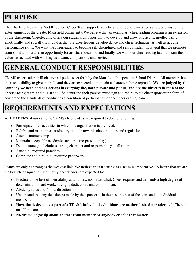#### **PURPOSE**

The Charlene McKinzey Middle School Cheer Team supports athletic and school organizations and performs for the entertainment of the greater Mansfield community. We believe that an exemplary cheerleading program is an extension of the classroom. Cheerleading offers our students an opportunity to develop and grow physically, intellectually, emotionally, and socially. Our goal is that our cheerleaders develop dance and cheer technique, as well as acquire performance skills. We want the cheerleaders to become self-disciplined and self-confident. It is vital that we promote team spirit and nurture an opportunity for artistic endeavors; and finally, we want our cheerleading team to learn the values associated with working as a team, competition, and service.

#### **GENERAL CONDUCT RESPONSIBILITIES**

CMMS cheerleaders will observe all policies set forth by the Mansfield Independent School District. All members have the responsibility to give their all, and they are expected to maintain a character above reproach. **We are judged by the company we keep and our actions in everyday life, both private and public, and are the direct reflection of the cheerleading team and our school.** Students and their parents must sign and return to the cheer sponsor the form of consent to the standards of conduct as a condition of participation on the cheerleading team.

#### **REQUIREMENTS AND EXPECTATIONS**

As **LEADERS** of our campus, CMMS cheerleaders are required to do the following:

- Participate in all activities in which the organization is involved.
- Exhibit and maintain a satisfactory attitude toward school policies and regulations.
- Attend summer camp
- Maintain acceptable academic standards (no pass, no play)
- Demonstrate good choices, strong character and responsibility at all times.
- Attend all required practices
- Complete and turn in all required paperwork

Teams are only as strong as the weakest link. **We believe that learning as a team is imperative**. To insure that we are the best cheer squad, all McKinzey cheerleaders are expected to:

- Practice to the best of their ability at all times, no matter what. Cheer requires and demands a high degree of determination, hard work, strength, dedication, and commitment.
- Abide by rules and follow directions
- Understand that any decision(s) made by the sponsor is in the best interest of the team and its individual members.
- **Have the desire to be a part of a TEAM. Individual exhibitions are neither desired nor tolerated**. There is no "I" in team.
- **● No drama or gossip about another team member or anybody else for that matter**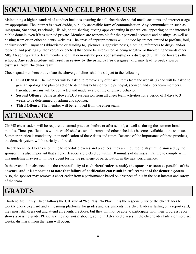#### **SOCIAL MEDIAAND CELL PHONE USE**

Maintaining a higher standard of conduct includes ensuring that all cheerleader social media accounts and internet usage are appropriate. The internet is a worldwide, publicly accessible form of communication. Any communication such as Instagram, Snapchat, Facebook, TikTok, photo sharing, texting apps or texting in general etc. appearing on the internet is public domain even if it is marked private. Members are responsible for their personal accounts and postings, as well as posting from or on other students' websites. The areas of appropriateness will include by are not limited to profane, foul, or disrespectful language (abbreviated or alluding to), pictures, suggestive poses, clothing, references to drugs, and/or tobacco, and postings (either verbal or photos) that could be interpreted as being negative or threatening towards other MISD teaching staff or team members, or that demonstrate poor sportsmanship or a disrespectful attitude towards other schools. **Any such incident will result in review by the principal (or designee) and may lead to probation or dismissal from the cheer team.**

Cheer squad members that violate the above guidelines shall be subject to the following:

- **First Offense:** The member will be asked to remove any offensive items from the website(s) and will be asked to give an apology and plan of action to deter this behavior to the principal, sponsor, and cheer team members. Parents/guardians will be contacted and made aware of the offensive behavior.
- **Second Offense:** Same as above PLUS suspension from all cheer team activities for a period of 3 days to 3 weeks to be determined by admin and sponsor.
- **Third Offense:** The member will be removed from the cheer team.

#### **ATTENDANCE**

CMMS cheerleaders will be required to attend practices before or after school, as well as during the summer break months. Time specifications will be established as school, camp, and other schedules become available to the sponsor. Summer practice is mandatory upon notification of these dates and times. Because of the importance of these practices, the demerit system will be strictly enforced.

Cheerleaders need to arrive on time to scheduled events and practices; they are required to stay until dismissed by the sponsor. It is also important that all cheerleaders are picked up within 10 minutes of dismissal. Failure to comply with this guideline may result in the student losing the privilege of participation in the next performance.

In the event of an absence, it is the **responsibility of each cheerleader to notify the sponsor as soon as possible of the absence, and it is important to note that failure of notification can result in enforcement of the demerit system**. Also, the sponsor may remove a cheerleader from a performance based on absences if it is in the best interest and safety of the team.

#### **GRADES**

Charlene McKinzey Cheer follows the UIL rule of "No Pass, No Play". It is the responsibility of the cheerleader to weekly check Skyward and all learning platforms for grades and assignments. If a cheerleader is failing on a report card, they must still dress out and attend all events/practices, but they will not be able to participate until their progress report shows a passing grade. Please ask the sponsor(s) about grading in Advanced classes. If the cheerleader fails 2 or more six weeks, dismissal from the team will occur.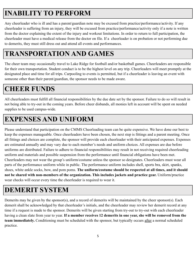#### **INABILITY TO PERFORM**

Any cheerleader who is ill and has a parent/guardian note may be excused from practice/performance/activity. If any cheerleader is suffering from an injury, they will be excused from practice/performance/activity only if a note is written from the doctor explaining the extent of the injury and workout limitations. In order to return to full participation, the cheerleader must have a medical release from the doctor on file. If a cheerleader is on probation or not performing due to demerits, they must still dress out and attend all events and performances.

#### **TRANSPORTATION AND GAMES**

The cheer team may occasionally travel to Lake Ridge for football and/or basketball games. Cheerleaders are responsible for their own transportation. Student conduct is to be the highest level on any trip. Cheerleaders will meet promptly at the designated place and time for all trips. Carpooling to events is permitted, but if a cheerleader is leaving an event with someone other than their parent/guardian, the sponsor needs to be made aware.

#### **CHEER FUNDS**

All cheerleaders must fulfill all financial responsibilities by the due date set by the sponsor. Failure to do so will result in not being able to try-out in the coming years. Before cheer disbands, all monies left in account will be spent on needed supplies to be used campus-wide.

#### **EXPENSES AND UNIFORM**

Please understand that participation on the CMMS Cheerleading team can be quite expensive. We have done our best to keep the expenses manageable. Once cheerleaders have been chosen, the next step is fittings and a parent meeting. Once all fittings and choices are complete, the sponsor will provide each cheerleader with their anticipated expenses. Expenses are estimated annually and may vary due to each member's needs and uniform choices. All expenses are due before uniforms are distributed. Failure to adhere to financial responsibilities may result in not receiving required cheerleading uniform and materials and possible suspension from the performance until financial obligations have been met. Cheerleaders may not wear the group's uniform/costume unless the sponsor so designates. Cheerleaders must wear all parts of the performance uniform while in public. The performance uniform includes shell, sports bra, skirt, spanks, shoes, white ankle socks, bow, and pom poms. **The uniform/costume should be respected at all times, and it should not be shared with non-members of the organization. This includes jackets and practice gear.** Uniform/practice wear checks will occur every time the cheerleader is required to wear it.

#### **DEMERIT SYSTEM**

Demerits may be given by the sponsor(s), and a record of demerits will be maintained by the cheer sponsor(s). Each demerit shall be acknowledged by that cheerleader's initials, and the cheerleader may review her demerit record at any time if a request is made to the sponsor. Demerits will be given starting from try-out to try-out with each cheerleader having a clean slate from year to year. **If a member receives 12 demerits in one year, she will be removed from the team immediately.** Conditioning must be scheduled with the sponsor, but typically occurs after a normal scheduled practice.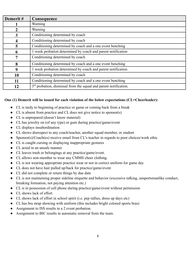| Demerit# | Consequence                                                        |
|----------|--------------------------------------------------------------------|
|          | <b>Warning</b>                                                     |
|          | Warning                                                            |
| 3        | Conditioning determined by coach                                   |
| 4        | Conditioning determined by coach                                   |
| 5        | Conditioning determined by coach and a one event benching          |
| 6        | 1 week probation determined by coach and parent notification       |
| 7        | Conditioning determined by coach                                   |
| 8        | Conditioning determined by coach and a one event benching          |
| 9        | 1 week probation determined by coach and parent notification       |
| 10       | Conditioning determined by coach                                   |
| 11       | Conditioning determined by coach and a one event benching          |
| 12       | $3rd$ probation, dismissal from the squad and parent notification. |

#### **One (1) Demerit will be issued for each violation of the below expectations (CL=Cheerleader):**

- CL is tardy to beginning of practice or game or coming back from a break
- CL is absent from practice and CL does not give notice to sponsor(s)
- CL is unprepared (doesn't know material)
- CL has jewelry on (of any type) or gum during practice/game/event
- CL displays insubordination
- CL shows disrespect to any coach/teacher, another squad member, or student
- Sponsor(s)/Coach(es) receive email from CL's teacher in regards to poor choices/work ethic
- CL is caught cursing or displaying inappropriate gestures
- CL acted in an unsafe manner
- CL leaves trash or belongings at any practice/game/event.
- CL allows non-member to wear any CMMS cheer clothing.
- CL is not wearing appropriate practice wear or not in correct uniform for game day
- CL does not have hair pulled up/back for practice/game/event
- CL did not complete or return things by due date
- CL is not maintaining proper sideline etiquette and behavior (excessive talking, unsportsmanlike conduct, breaking formation, not paying attention etc.)
- CL is in possession of cell phone during practice/game/event without permission
- CL shows lack of effort
- CL shows lack of effort in school spirit (i.e. pep rallies, dress up days etc)
- CL has bra strap showing with uniform (this includes bright colored sports bras)
- Assignment to ISS results in a 2 event probation.
- Assignment to BIC results in automatic removal from the team.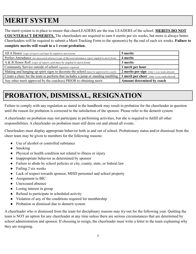#### **MERIT SYSTEM**

The merit system is in place to ensure that cheerLEADERS are the true LEADERS of the school. **MERITS DO NOT COUNTERACT DEMERITS.** The cheerleaders are required to earn 6 merits per six weeks, but more is always better. Cheerleaders will be required to submit a Merit Tracking Form to the sponsor(s) by the end of each six weeks. **Failure to complete merits will result in a 1 event probation.**

| All A Honor (copy of report card must be stapled to merit form)                                    | 5 merits                                              |
|----------------------------------------------------------------------------------------------------|-------------------------------------------------------|
| Perfect Attendance (no unexcused absences/copy of Skyward attendance report stapled to merit form) | 4 merits                                              |
| $A & B$ Honor Roll (copy of report card must be stapled to merit form)                             | 3 merits                                              |
| Community Service outside of school (signature required)                                           | 1 merit per hour                                      |
| Making and hanging up spirit signs to decorate the school (must be approved by coach)              | 2 merits per sign (Only 1 a six weeks allowed)        |
| Create a cheer for the team to perform that includes a jump or standing tumbling                   | <b>1 merit per cheer</b> (Only 1 a six weeks allowed) |
| Any other merit approved by the coach(es) PRIOR to obtaining merit.                                | Amount determined by coach                            |

#### **PROBATION, DISMISSAL, RESIGNATION**

Failure to comply with any regulation as stated in the handbook may result in probation for the cheerleader in question until the reason for probation is corrected to the satisfaction of the sponsor. Please refer to the demerit system.

A cheerleader on probation may not participate in performing activities, but she is required to fulfill all other responsibilities. A cheerleader on probation must still dress out and attend all events.

Cheerleaders must display appropriate behavior both in and out of school. Probationary status and/or dismissal from the cheer team may be given to members for the following reasons:

- Use of alcohol or controlled substance
- Smoking
- Physical or health condition not related to illness or injury
- Inappropriate behavior as determined by sponsor
- Failure to abide by school policies or city, county, state, or federal law
- Failing 2 six weeks
- Lack of respect towards sponsor, MISD personnel and school property
- Assignment to BIC
- Unexcused absence
- Losing interest in group
- Refusal to participate in scheduled activity
- Violation of any of the conditions required for membership
- Probation or dismissal due to demerit system

A cheerleader who is dismissed from the team for disciplinary reasons may try-out for the following year. Quitting the team is NOT an option for any cheerleader at any time unless there are serious circumstances that are determined by school administration and sponsor. If choosing to resign, the cheerleader must write a letter to the team explaining why they are resigning.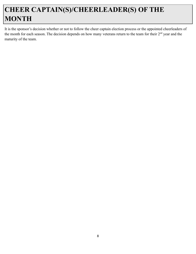#### **CHEER CAPTAIN(S)/CHEERLEADER(S) OF THE MONTH**

It is the sponsor's decision whether or not to follow the cheer captain election process or the appointed cheerleaders of the month for each season. The decision depends on how many veterans return to the team for their 2<sup>nd</sup> year and the maturity of the team.